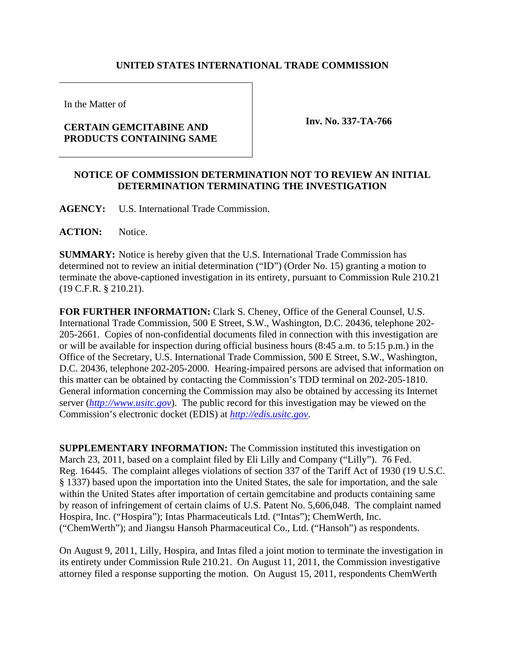## **UNITED STATES INTERNATIONAL TRADE COMMISSION**

In the Matter of

## **CERTAIN GEMCITABINE AND PRODUCTS CONTAINING SAME**

**Inv. No. 337-TA-766**

## **NOTICE OF COMMISSION DETERMINATION NOT TO REVIEW AN INITIAL DETERMINATION TERMINATING THE INVESTIGATION**

**AGENCY:** U.S. International Trade Commission.

ACTION: Notice.

**SUMMARY:** Notice is hereby given that the U.S. International Trade Commission has determined not to review an initial determination ("ID") (Order No. 15) granting a motion to terminate the above-captioned investigation in its entirety, pursuant to Commission Rule 210.21 (19 C.F.R. § 210.21).

**FOR FURTHER INFORMATION:** Clark S. Cheney, Office of the General Counsel, U.S. International Trade Commission, 500 E Street, S.W., Washington, D.C. 20436, telephone 202- 205-2661. Copies of non-confidential documents filed in connection with this investigation are or will be available for inspection during official business hours (8:45 a.m. to 5:15 p.m.) in the Office of the Secretary, U.S. International Trade Commission, 500 E Street, S.W., Washington, D.C. 20436, telephone 202-205-2000. Hearing-impaired persons are advised that information on this matter can be obtained by contacting the Commission's TDD terminal on 202-205-1810. General information concerning the Commission may also be obtained by accessing its Internet server (*http://www.usitc.gov*). The public record for this investigation may be viewed on the Commission's electronic docket (EDIS) at *http://edis.usitc.gov*.

**SUPPLEMENTARY INFORMATION:** The Commission instituted this investigation on March 23, 2011, based on a complaint filed by Eli Lilly and Company ("Lilly"). 76 Fed. Reg. 16445. The complaint alleges violations of section 337 of the Tariff Act of 1930 (19 U.S.C. § 1337) based upon the importation into the United States, the sale for importation, and the sale within the United States after importation of certain gemcitabine and products containing same by reason of infringement of certain claims of U.S. Patent No. 5,606,048. The complaint named Hospira, Inc. ("Hospira"); Intas Pharmaceuticals Ltd. ("Intas"); ChemWerth, Inc. ("ChemWerth"); and Jiangsu Hansoh Pharmaceutical Co., Ltd. ("Hansoh") as respondents.

On August 9, 2011, Lilly, Hospira, and Intas filed a joint motion to terminate the investigation in its entirety under Commission Rule 210.21. On August 11, 2011, the Commission investigative attorney filed a response supporting the motion. On August 15, 2011, respondents ChemWerth